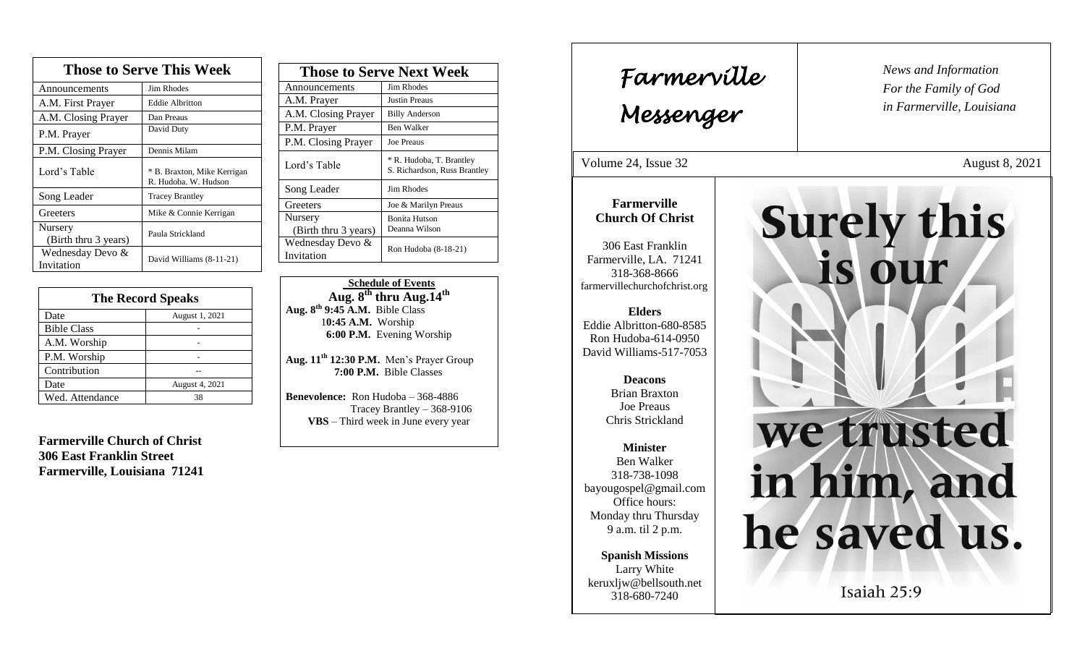| <b>Those to Serve This Week</b> |                                                     |  |
|---------------------------------|-----------------------------------------------------|--|
| Announcements                   | Jim Rhodes                                          |  |
| A.M. First Prayer               | <b>Eddie Albritton</b>                              |  |
| A.M. Closing Prayer             | Dan Preaus                                          |  |
| P.M. Prayer                     | David Duty                                          |  |
| P.M. Closing Prayer             | Dennis Milam                                        |  |
| Lord's Table                    | * B. Braxton, Mike Kerrigan<br>R. Hudoba. W. Hudson |  |
| Song Leader                     | <b>Tracey Brantley</b>                              |  |
| Greeters                        | Mike & Connie Kerrigan                              |  |
| Nursery<br>(Birth thru 3 years) | Paula Strickland                                    |  |
| Wednesday Devo &<br>Invitation  | David Williams (8-11-21)                            |  |

| <b>The Record Speaks</b> |                |
|--------------------------|----------------|
| Date                     | August 1, 2021 |
| <b>Bible Class</b>       |                |
| A.M. Worship             |                |
| P.M. Worship             |                |
| Contribution             |                |
| Date                     | August 4, 2021 |
| Wed. Attendance          | 38             |

**Farmerville Church of Christ 306 East Franklin Street Farmerville, Louisiana 71241**

| <b>Those to Serve Next Week</b> |                                                          |
|---------------------------------|----------------------------------------------------------|
| Announcements                   | Jim Rhodes                                               |
| A.M. Prayer                     | <b>Justin Preaus</b>                                     |
| A.M. Closing Prayer             | <b>Billy Anderson</b>                                    |
| P.M. Prayer                     | Ben Walker                                               |
| P.M. Closing Prayer             | <b>Joe Preaus</b>                                        |
| Lord's Table                    | * R. Hudoba, T. Brantley<br>S. Richardson, Russ Brantley |
| Song Leader                     | Jim Rhodes                                               |
| Greeters                        | Joe & Marilyn Preaus                                     |
| Nursery<br>(Birth thru 3 years) | <b>Bonita Hutson</b><br>Deanna Wilson                    |
| Wednesday Devo &<br>Invitation  | Ron Hudoba (8-18-21)                                     |

 **Schedule of Events**  $\mathbf{Aug. 8}^{\text{th}}$  thru  $\mathbf{Aug.14}^{\text{th}}$ **Aug. 8 th 9:45 A.M.** Bible Class 1**0:45 A.M.** Worship  **6:00 P.M.** Evening Worship

**Aug. 11th 12:30 P.M.** Men's Prayer Group **7:00 P.M.** Bible Classes

**Benevolence:** Ron Hudoba – 368-4886 Tracey Brantley – 368-9106 **VBS** – Third week in June every year

*News and Information* **Farmerville**  $\begin{bmatrix} \text{News and} \end{bmatrix}$ *For the Family of God in Farmerville, Louisiana Messenger*  Volume 24, Issue 32 August 8, 2021 , 2015 **Farmerville Surely this Church Of Christ** 306 East Franklin Farmerville, LA. 71241 is our 318-368-8666 farmervillechurchofchrist.org **Elders** Eddie Albritton-680-8585 Ron Hudoba-614-0950 David Williams-517-7053 **Deacons**  Brian Braxton Joe Preaus Chris Strickland we trusted **Minister** Ben Walker in him, and 318-738-1098 bayougospel@gmail.com Office hours: Monday thru Thursday he saved us. 9 a.m. til 2 p.m. **Spanish Missions** Larry White keruxljw@bellsouth.net Isaiah 25:9 318-680-7240